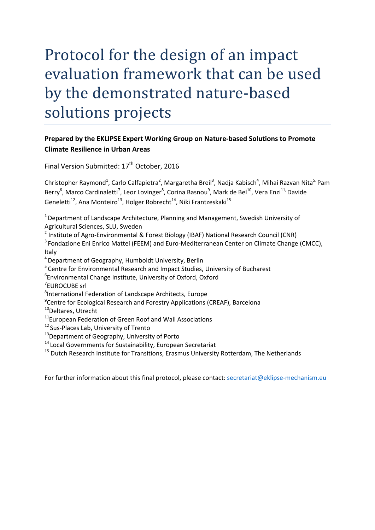# Protocol for the design of an impact evaluation framework that can be used by the demonstrated nature-based solutions projects

## **Prepared by the EKLIPSE Expert Working Group on Nature‐based Solutions to Promote Climate Resilience in Urban Areas**

Final Version Submitted: 17<sup>th</sup> October, 2016

Christopher Raymond<sup>1</sup>, Carlo Calfapietra<sup>2</sup>, Margaretha Breil<sup>3</sup>, Nadja Kabisch<sup>4</sup>, Mihai Razvan Nita<sup>5,</sup> Pam Berry<sup>6</sup>, Marco Cardinaletti<sup>7</sup>, Leor Lovinger<sup>8</sup>, Corina Basnou<sup>9</sup>, Mark de Bel<sup>10</sup>, Vera Enzi<sup>11,</sup> Davide Geneletti<sup>12</sup>, Ana Monteiro<sup>13</sup>, Holger Robrecht<sup>14</sup>, Niki Frantzeskaki<sup>15</sup>

<sup>1</sup> Department of Landscape Architecture, Planning and Management, Swedish University of Agricultural Sciences, SLU, Sweden

<sup>2</sup> Institute of Agro‐Environmental & Forest Biology (IBAF) National Research Council (CNR)

<sup>3</sup> Fondazione Eni Enrico Mattei (FEEM) and Euro-Mediterranean Center on Climate Change (CMCC), Italy

4Department of Geography, Humboldt University, Berlin

<sup>5</sup> Centre for Environmental Research and Impact Studies, University of Bucharest

6 Environmental Change Institute, University of Oxford, Oxford

7 EUROCUBE srl

8 International Federation of Landscape Architects, Europe

<sup>9</sup>Centre for Ecological Research and Forestry Applications (CREAF), Barcelona

<sup>10</sup>Deltares, Utrecht

<sup>11</sup>European Federation of Green Roof and Wall Associations

<sup>12</sup> Sus-Places Lab, University of Trento

<sup>13</sup>Department of Geography, University of Porto

<sup>14</sup> Local Governments for Sustainability, European Secretariat

<sup>15</sup> Dutch Research Institute for Transitions, Erasmus University Rotterdam, The Netherlands

For further information about this final protocol, please contact: secretariat@eklipse‐mechanism.eu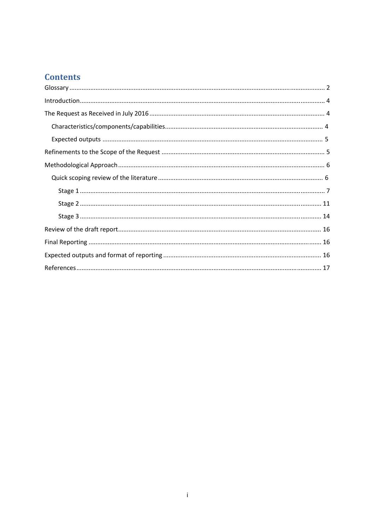# **Contents**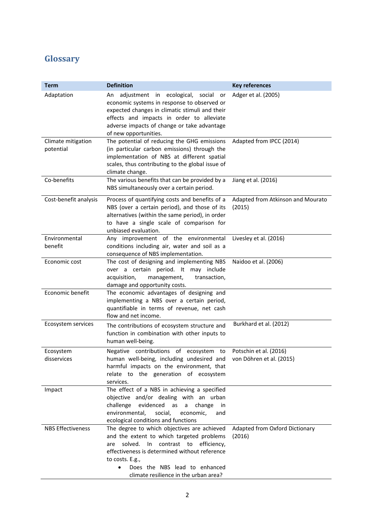# Glossary

| <b>Term</b>                     | <b>Definition</b>                                                                                                                                                                                                                                                                   | <b>Key references</b>                              |
|---------------------------------|-------------------------------------------------------------------------------------------------------------------------------------------------------------------------------------------------------------------------------------------------------------------------------------|----------------------------------------------------|
| Adaptation                      | adjustment in<br>ecological, social<br>or<br>An<br>economic systems in response to observed or<br>expected changes in climatic stimuli and their<br>effects and impacts in order to alleviate<br>adverse impacts of change or take advantage<br>of new opportunities.               | Adger et al. (2005)                                |
| Climate mitigation<br>potential | The potential of reducing the GHG emissions<br>(in particular carbon emissions) through the<br>implementation of NBS at different spatial<br>scales, thus contributing to the global issue of<br>climate change.                                                                    | Adapted from IPCC (2014)                           |
| Co-benefits                     | The various benefits that can be provided by a<br>NBS simultaneously over a certain period.                                                                                                                                                                                         | Jiang et al. (2016)                                |
| Cost-benefit analysis           | Process of quantifying costs and benefits of a<br>NBS (over a certain period), and those of its<br>alternatives (within the same period), in order<br>to have a single scale of comparison for<br>unbiased evaluation.                                                              | Adapted from Atkinson and Mourato<br>(2015)        |
| Environmental<br>benefit        | Any improvement of the environmental<br>conditions including air, water and soil as a<br>consequence of NBS implementation.                                                                                                                                                         | Livesley et al. (2016)                             |
| Economic cost                   | The cost of designing and implementing NBS<br>over a certain period. It may include<br>acquisition,<br>transaction,<br>management,<br>damage and opportunity costs.                                                                                                                 | Naidoo et al. (2006)                               |
| Economic benefit                | The economic advantages of designing and<br>implementing a NBS over a certain period,<br>quantifiable in terms of revenue, net cash<br>flow and net income.                                                                                                                         |                                                    |
| Ecosystem services              | The contributions of ecosystem structure and<br>function in combination with other inputs to<br>human well-being.                                                                                                                                                                   | Burkhard et al. (2012)                             |
| Ecosystem<br>disservices        | Negative contributions of ecosystem to<br>human well-being, including undesired and<br>harmful impacts on the environment, that<br>relate to the generation of ecosystem<br>services.                                                                                               | Potschin et al. (2016)<br>von Döhren et al. (2015) |
| Impact                          | The effect of a NBS in achieving a specified<br>objective and/or dealing with an urban<br>challenge<br>evidenced<br>as<br>a<br>change<br>in in<br>environmental,<br>social,<br>economic,<br>and<br>ecological conditions and functions                                              |                                                    |
| <b>NBS Effectiveness</b>        | The degree to which objectives are achieved<br>and the extent to which targeted problems<br>solved. In contrast to efficiency,<br>are<br>effectiveness is determined without reference<br>to costs. E.g.,<br>Does the NBS lead to enhanced<br>climate resilience in the urban area? | Adapted from Oxford Dictionary<br>(2016)           |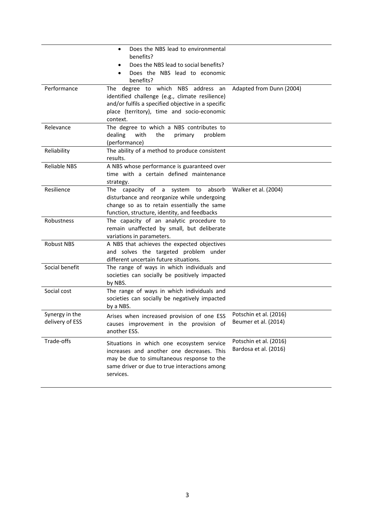|                                   | Does the NBS lead to environmental<br>$\bullet$<br>benefits?<br>Does the NBS lead to social benefits?                                                                                                 |                                                 |
|-----------------------------------|-------------------------------------------------------------------------------------------------------------------------------------------------------------------------------------------------------|-------------------------------------------------|
|                                   | Does the NBS lead to economic<br>benefits?                                                                                                                                                            |                                                 |
| Performance                       | The degree to which NBS address an<br>identified challenge (e.g., climate resilience)<br>and/or fulfils a specified objective in a specific<br>place (territory), time and socio-economic<br>context. | Adapted from Dunn (2004)                        |
| Relevance                         | The degree to which a NBS contributes to<br>dealing<br>with<br>the<br>primary<br>problem<br>(performance)                                                                                             |                                                 |
| Reliability                       | The ability of a method to produce consistent<br>results.                                                                                                                                             |                                                 |
| <b>Reliable NBS</b>               | A NBS whose performance is guaranteed over<br>time with a certain defined maintenance<br>strategy.                                                                                                    |                                                 |
| Resilience                        | The capacity of a system to absorb<br>disturbance and reorganize while undergoing<br>change so as to retain essentially the same<br>function, structure, identity, and feedbacks                      | Walker et al. (2004)                            |
| Robustness                        | The capacity of an analytic procedure to<br>remain unaffected by small, but deliberate<br>variations in parameters.                                                                                   |                                                 |
| <b>Robust NBS</b>                 | A NBS that achieves the expected objectives<br>and solves the targeted problem under<br>different uncertain future situations.                                                                        |                                                 |
| Social benefit                    | The range of ways in which individuals and<br>societies can socially be positively impacted<br>by NBS.                                                                                                |                                                 |
| Social cost                       | The range of ways in which individuals and<br>societies can socially be negatively impacted<br>by a NBS.                                                                                              |                                                 |
| Synergy in the<br>delivery of ESS | Arises when increased provision of one ESS<br>causes improvement in the provision of<br>another ESS.                                                                                                  | Potschin et al. (2016)<br>Beumer et al. (2014)  |
| Trade-offs                        | Situations in which one ecosystem service<br>increases and another one decreases. This<br>may be due to simultaneous response to the<br>same driver or due to true interactions among<br>services.    | Potschin et al. (2016)<br>Bardosa et al. (2016) |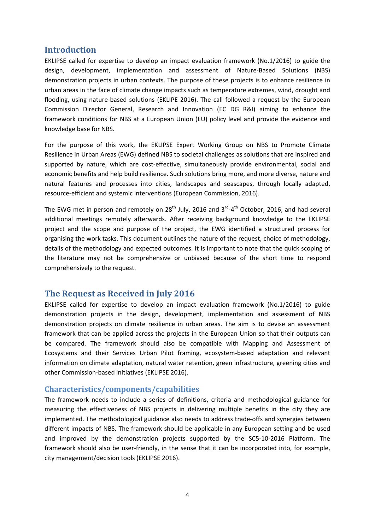## **Introduction**

EKLIPSE called for expertise to develop an impact evaluation framework (No.1/2016) to guide the design, development, implementation and assessment of Nature‐Based Solutions (NBS) demonstration projects in urban contexts. The purpose of these projects is to enhance resilience in urban areas in the face of climate change impacts such as temperature extremes, wind, drought and flooding, using nature-based solutions (EKLIPE 2016). The call followed a request by the European Commission Director General, Research and Innovation (EC DG R&I) aiming to enhance the framework conditions for NBS at a European Union (EU) policy level and provide the evidence and knowledge base for NBS.

For the purpose of this work, the EKLIPSE Expert Working Group on NBS to Promote Climate Resilience in Urban Areas (EWG) defined NBS to societal challenges as solutions that are inspired and supported by nature, which are cost-effective, simultaneously provide environmental, social and economic benefits and help build resilience. Such solutions bring more, and more diverse, nature and natural features and processes into cities, landscapes and seascapes, through locally adapted, resource‐efficient and systemic interventions (European Commission, 2016).

The EWG met in person and remotely on  $28^{th}$  July, 2016 and  $3^{rd}$ -4<sup>th</sup> October, 2016, and had several additional meetings remotely afterwards. After receiving background knowledge to the EKLIPSE project and the scope and purpose of the project, the EWG identified a structured process for organising the work tasks. This document outlines the nature of the request, choice of methodology, details of the methodology and expected outcomes. It is important to note that the quick scoping of the literature may not be comprehensive or unbiased because of the short time to respond comprehensively to the request.

## **The Request as Received in July 2016**

EKLIPSE called for expertise to develop an impact evaluation framework (No.1/2016) to guide demonstration projects in the design, development, implementation and assessment of NBS demonstration projects on climate resilience in urban areas. The aim is to devise an assessment framework that can be applied across the projects in the European Union so that their outputs can be compared. The framework should also be compatible with Mapping and Assessment of Ecosystems and their Services Urban Pilot framing, ecosystem-based adaptation and relevant information on climate adaptation, natural water retention, green infrastructure, greening cities and other Commission‐based initiatives (EKLIPSE 2016).

## **Characteristics/components/capabilities**

The framework needs to include a series of definitions, criteria and methodological guidance for measuring the effectiveness of NBS projects in delivering multiple benefits in the city they are implemented. The methodological guidance also needs to address trade‐offs and synergies between different impacts of NBS. The framework should be applicable in any European setting and be used and improved by the demonstration projects supported by the SC5‐10‐2016 Platform. The framework should also be user‐friendly, in the sense that it can be incorporated into, for example, city management/decision tools (EKLIPSE 2016).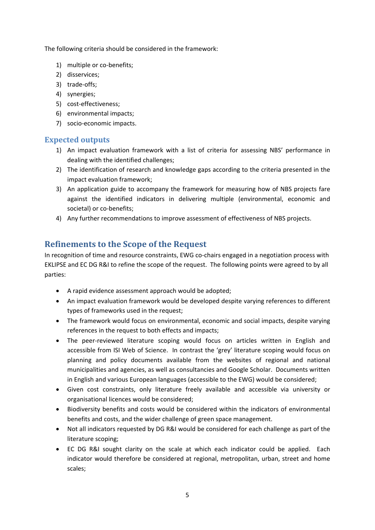The following criteria should be considered in the framework:

- 1) multiple or co-benefits;
- 2) disservices;
- 3) trade‐offs;
- 4) synergies;
- 5) cost‐effectiveness;
- 6) environmental impacts;
- 7) socio‐economic impacts.

## **Expected outputs**

- 1) An impact evaluation framework with a list of criteria for assessing NBS' performance in dealing with the identified challenges;
- 2) The identification of research and knowledge gaps according to the criteria presented in the impact evaluation framework;
- 3) An application guide to accompany the framework for measuring how of NBS projects fare against the identified indicators in delivering multiple (environmental, economic and societal) or co-benefits;
- 4) Any further recommendations to improve assessment of effectiveness of NBS projects.

## **Refinements to the Scope of the Request**

In recognition of time and resource constraints, EWG co-chairs engaged in a negotiation process with EKLIPSE and EC DG R&I to refine the scope of the request. The following points were agreed to by all parties:

- A rapid evidence assessment approach would be adopted;
- An impact evaluation framework would be developed despite varying references to different types of frameworks used in the request;
- The framework would focus on environmental, economic and social impacts, despite varying references in the request to both effects and impacts;
- The peer-reviewed literature scoping would focus on articles written in English and accessible from ISI Web of Science. In contrast the 'grey' literature scoping would focus on planning and policy documents available from the websites of regional and national municipalities and agencies, as well as consultancies and Google Scholar. Documents written in English and various European languages (accessible to the EWG) would be considered;
- Given cost constraints, only literature freely available and accessible via university or organisational licences would be considered;
- Biodiversity benefits and costs would be considered within the indicators of environmental benefits and costs, and the wider challenge of green space management.
- Not all indicators requested by DG R&I would be considered for each challenge as part of the literature scoping;
- EC DG R&I sought clarity on the scale at which each indicator could be applied. Each indicator would therefore be considered at regional, metropolitan, urban, street and home scales;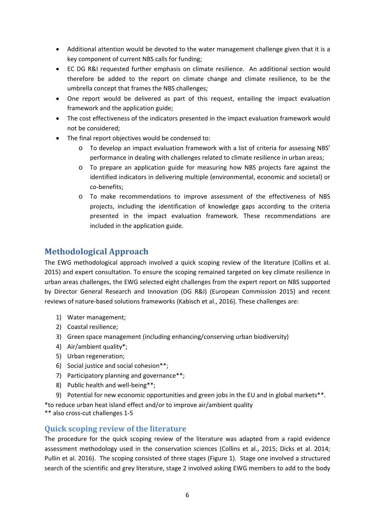- Additional attention would be devoted to the water management challenge given that it is a key component of current NBS calls for funding;
- EC DG R&I requested further emphasis on climate resilience. An additional section would therefore be added to the report on climate change and climate resilience, to be the umbrella concept that frames the NBS challenges;
- One report would be delivered as part of this request, entailing the impact evaluation framework and the application guide;
- The cost effectiveness of the indicators presented in the impact evaluation framework would not be considered;
- The final report objectives would be condensed to:
	- o To develop an impact evaluation framework with a list of criteria for assessing NBS' performance in dealing with challenges related to climate resilience in urban areas;
	- o To prepare an application guide for measuring how NBS projects fare against the identified indicators in delivering multiple (environmental, economic and societal) or co‐benefits;
	- o To make recommendations to improve assessment of the effectiveness of NBS projects, including the identification of knowledge gaps according to the criteria presented in the impact evaluation framework. These recommendations are included in the application guide.

# **Methodological Approach**

The EWG methodological approach involved a quick scoping review of the literature (Collins et al. 2015) and expert consultation. To ensure the scoping remained targeted on key climate resilience in urban areas challenges, the EWG selected eight challenges from the expert report on NBS supported by Director General Research and Innovation (DG R&I) (European Commission 2015) and recent reviews of nature-based solutions frameworks (Kabisch et al., 2016). These challenges are:

- 1) Water management;
- 2) Coastal resilience;
- 3) Green space management (including enhancing/conserving urban biodiversity)
- 4) Air/ambient quality\*;
- 5) Urban regeneration;
- 6) Social justice and social cohesion\*\*;
- 7) Participatory planning and governance\*\*;
- 8) Public health and well-being\*\*;
- 9) Potential for new economic opportunities and green jobs in the EU and in global markets\*\*.
- \*to reduce urban heat island effect and/or to improve air/ambient quality
- \*\* also cross‐cut challenges 1‐5

## **Quick scoping review of the literature**

The procedure for the quick scoping review of the literature was adapted from a rapid evidence assessment methodology used in the conservation sciences (Collins et al., 2015; Dicks et al. 2014; Pullin et al. 2016). The scoping consisted of three stages (Figure 1). Stage one involved a structured search of the scientific and grey literature, stage 2 involved asking EWG members to add to the body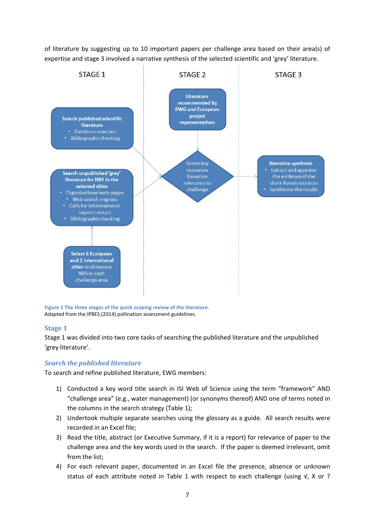of literature by suggesting up to 10 important papers per challenge area based on their area(s) of expertise and stage 3 involved a narrative synthesis of the selected scientific and 'grey' literature.



**Figure 1 The three stages of the quick scoping review of the literature.**  Adapted from the IPBES (2014) pollination assessment guidelines.

## **Stage 1**

Stage 1 was divided into two core tasks of searching the published literature and the unpublished 'grey literature'.

## *Search the published literature*

To search and refine published literature, EWG members:

- 1) Conducted a key word title search in ISI Web of Science using the term "framework" AND "challenge area" (e.g., water management) (or synonyms thereof) AND one of terms noted in the columns in the search strategy (Table 1);
- 2) Undertook multiple separate searches using the glossary as a guide. All search results were recorded in an Excel file;
- 3) Read the title, abstract (or Executive Summary, if it is a report) for relevance of paper to the challenge area and the key words used in the search. If the paper is deemed irrelevant, omit from the list;
- 4) For each relevant paper, documented in an Excel file the presence, absence or unknown status of each attribute noted in Table 1 with respect to each challenge (using  $\sqrt{v}$ , X or ?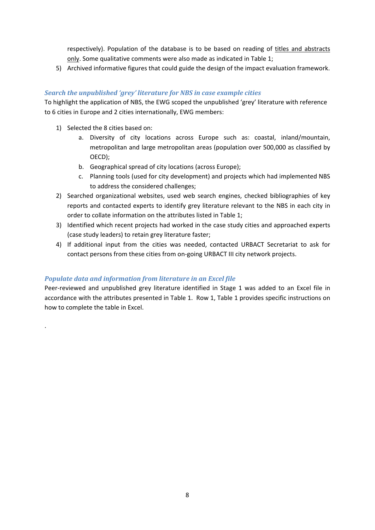respectively). Population of the database is to be based on reading of titles and abstracts only. Some qualitative comments were also made as indicated in Table 1;

5) Archived informative figures that could guide the design of the impact evaluation framework.

## *Search the unpublished 'grey' literature for NBS in case example cities*

To highlight the application of NBS, the EWG scoped the unpublished 'grey' literature with reference to 6 cities in Europe and 2 cities internationally, EWG members:

1) Selected the 8 cities based on:

.

- a. Diversity of city locations across Europe such as: coastal, inland/mountain, metropolitan and large metropolitan areas (population over 500,000 as classified by OECD);
- b. Geographical spread of city locations (across Europe);
- c. Planning tools (used for city development) and projects which had implemented NBS to address the considered challenges;
- 2) Searched organizational websites, used web search engines, checked bibliographies of key reports and contacted experts to identify grey literature relevant to the NBS in each city in order to collate information on the attributes listed in Table 1;
- 3) Identified which recent projects had worked in the case study cities and approached experts (case study leaders) to retain grey literature faster;
- 4) If additional input from the cities was needed, contacted URBACT Secretariat to ask for contact persons from these cities from on-going URBACT III city network projects.

## *Populate data and information from literature in an Excel file*

Peer-reviewed and unpublished grey literature identified in Stage 1 was added to an Excel file in accordance with the attributes presented in Table 1. Row 1, Table 1 provides specific instructions on how to complete the table in Excel.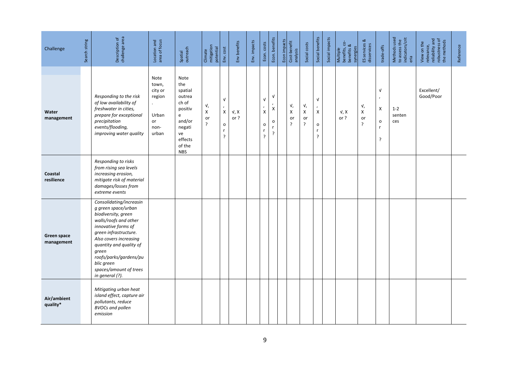| Challenge                 | Search string | Description of<br>challenge area                                                                                                                                                                                                                                                                  | Location and<br>area of focus                                      | Spatial<br>outreach                                                                                                    | Climate<br>mitigation<br>potential | Env. cost                                   | Env benefits   | Env. impacts | Econ. costs                                                          | Econ. benefits                            | Econ impacts | Cost-benefit<br>analysis | Social costs                | Social benefits                                                     | Social impacts | Multiple<br>benefits, co-<br>benefits &<br>synergies | ES services &<br>disservices    | trade-offs                                             | Methods used<br>to assess the<br>indicators/crit<br>eria | relevance,<br>reliability and<br>robustness of<br>the methods<br>View on the | Reference |
|---------------------------|---------------|---------------------------------------------------------------------------------------------------------------------------------------------------------------------------------------------------------------------------------------------------------------------------------------------------|--------------------------------------------------------------------|------------------------------------------------------------------------------------------------------------------------|------------------------------------|---------------------------------------------|----------------|--------------|----------------------------------------------------------------------|-------------------------------------------|--------------|--------------------------|-----------------------------|---------------------------------------------------------------------|----------------|------------------------------------------------------|---------------------------------|--------------------------------------------------------|----------------------------------------------------------|------------------------------------------------------------------------------|-----------|
| Water<br>management       |               | Responding to the risk<br>of low availability of<br>freshwater in cities,<br>prepare for exceptional<br>precipitation<br>events/flooding,<br>improving water quality                                                                                                                              | Note<br>town,<br>city or<br>region<br>Urban<br>or<br>non-<br>urban | Note<br>the<br>spatial<br>outrea<br>ch of<br>positiv<br>e<br>and/or<br>negati<br>ve<br>effects<br>of the<br><b>NBS</b> | v,<br>X<br>or<br>?                 | $\sqrt{ }$<br>,<br>X<br>$\mathsf{o}\,$<br>? | V, X<br>or $?$ |              | $\mathsf{V}$<br>$\pmb{\prime}$<br>X<br>$\mathsf{o}\xspace$<br>r<br>? | $\sqrt{ }$<br>Χ<br>$\mathsf{o}$<br>r<br>? |              | v,<br>X<br>or<br>ŗ       | V,<br>X<br>or<br>$\ddot{?}$ | $\sqrt{ }$<br>$\lambda$<br>X<br>$\mathsf{o}\,$<br>$\mathsf{r}$<br>? |                | V, X<br>or $?$                                       | V,<br>X<br>or<br>$\ddot{\cdot}$ | $\sqrt{ }$<br>$\lambda$<br>X<br>$\mathsf{o}$<br>r<br>? | $1 - 2$<br>senten<br>ces                                 | Excellent/<br>Good/Poor                                                      |           |
| Coastal<br>resilience     |               | Responding to risks<br>from rising sea levels<br>increasing erosion,<br>mitigate risk of material<br>damages/losses from<br>extreme events                                                                                                                                                        |                                                                    |                                                                                                                        |                                    |                                             |                |              |                                                                      |                                           |              |                          |                             |                                                                     |                |                                                      |                                 |                                                        |                                                          |                                                                              |           |
| Green space<br>management |               | Consolidating/increasin<br>g green space/urban<br>biodiversity, green<br>walls/roofs and other<br>innovative forms of<br>green infrastructure.<br>Also covers increasing<br>quantity and quality of<br>green<br>roofs/parks/gardens/pu<br>blic green<br>spaces/amount of trees<br>in general (?). |                                                                    |                                                                                                                        |                                    |                                             |                |              |                                                                      |                                           |              |                          |                             |                                                                     |                |                                                      |                                 |                                                        |                                                          |                                                                              |           |
| Air/ambient<br>quality*   |               | Mitigating urban heat<br>island effect, capture air<br>pollutants, reduce<br><b>BVOCs and pollen</b><br>emission                                                                                                                                                                                  |                                                                    |                                                                                                                        |                                    |                                             |                |              |                                                                      |                                           |              |                          |                             |                                                                     |                |                                                      |                                 |                                                        |                                                          |                                                                              |           |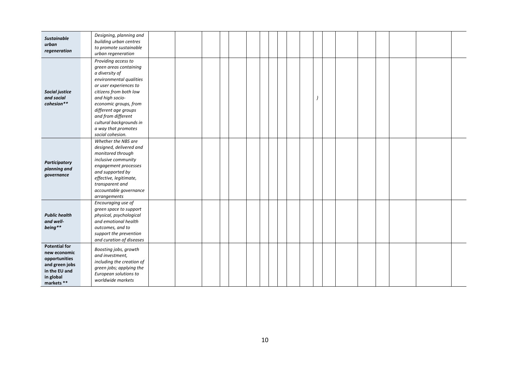| <b>Sustainable</b><br>urban<br>regeneration                                                                         | Designing, planning and<br>building urban centres<br>to promote sustainable<br>urban regeneration                                                                                                                                                                                                              |  |  |  |  |  |  |  |  |  |
|---------------------------------------------------------------------------------------------------------------------|----------------------------------------------------------------------------------------------------------------------------------------------------------------------------------------------------------------------------------------------------------------------------------------------------------------|--|--|--|--|--|--|--|--|--|
| Social justice<br>and social<br>cohesion**                                                                          | Providing access to<br>green areas containing<br>a diversity of<br>environmental qualities<br>or user experiences to<br>citizens from both low<br>and high socio-<br>economic groups, from<br>different age groups<br>and from different<br>cultural backgrounds in<br>a way that promotes<br>social cohesion. |  |  |  |  |  |  |  |  |  |
| <b>Participatory</b><br>planning and<br>governance                                                                  | Whether the NBS are<br>designed, delivered and<br>monitored through<br>inclusive community<br>engagement processes<br>and supported by<br>effective, legitimate,<br>transparent and<br>accountable governance<br>arrangements                                                                                  |  |  |  |  |  |  |  |  |  |
| <b>Public health</b><br>and well-<br>being**                                                                        | Encouraging use of<br>green space to support<br>physical, psychological<br>and emotional health<br>outcomes, and to<br>support the prevention<br>and curation of diseases                                                                                                                                      |  |  |  |  |  |  |  |  |  |
| <b>Potential for</b><br>new economic<br>opportunities<br>and green jobs<br>in the EU and<br>in global<br>markets ** | Boosting jobs, growth<br>and investment,<br>including the creation of<br>green jobs; applying the<br>European solutions to<br>worldwide markets                                                                                                                                                                |  |  |  |  |  |  |  |  |  |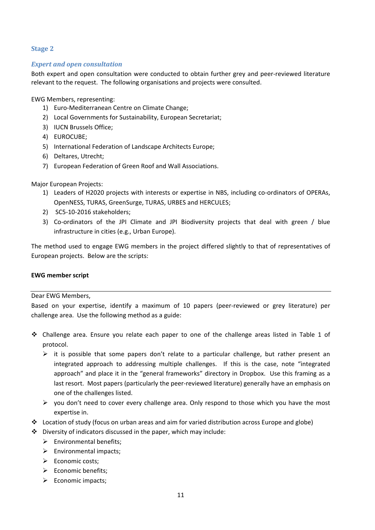## **Stage 2**

#### *Expert and open consultation*

Both expert and open consultation were conducted to obtain further grey and peer-reviewed literature relevant to the request. The following organisations and projects were consulted.

EWG Members, representing:

- 1) Euro‐Mediterranean Centre on Climate Change;
- 2) Local Governments for Sustainability, European Secretariat;
- 3) IUCN Brussels Office;
- 4) EUROCUBE;
- 5) International Federation of Landscape Architects Europe;
- 6) Deltares, Utrecht;
- 7) European Federation of Green Roof and Wall Associations.

#### Major European Projects:

- 1) Leaders of H2020 projects with interests or expertise in NBS, including co-ordinators of OPERAs, OpenNESS, TURAS, GreenSurge, TURAS, URBES and HERCULES;
- 2) SC5‐10‐2016 stakeholders;
- 3) Co-ordinators of the JPI Climate and JPI Biodiversity projects that deal with green / blue infrastructure in cities (e.g., Urban Europe).

The method used to engage EWG members in the project differed slightly to that of representatives of European projects. Below are the scripts:

#### **EWG member script**

#### Dear EWG Members,

Based on your expertise, identify a maximum of 10 papers (peer-reviewed or grey literature) per challenge area. Use the following method as a guide:

- Challenge area. Ensure you relate each paper to one of the challenge areas listed in Table 1 of protocol.
	- $\triangleright$  it is possible that some papers don't relate to a particular challenge, but rather present an integrated approach to addressing multiple challenges. If this is the case, note "integrated approach" and place it in the "general frameworks" directory in Dropbox. Use this framing as a last resort. Most papers (particularly the peer-reviewed literature) generally have an emphasis on one of the challenges listed.
	- $\triangleright$  you don't need to cover every challenge area. Only respond to those which you have the most expertise in.
- $\div$  Location of study (focus on urban areas and aim for varied distribution across Europe and globe)
- Diversity of indicators discussed in the paper, which may include:
	- $\triangleright$  Environmental benefits;
	- $\triangleright$  Environmental impacts;
	- $\triangleright$  Economic costs:
	- $\triangleright$  Economic benefits:
	- $\triangleright$  Economic impacts;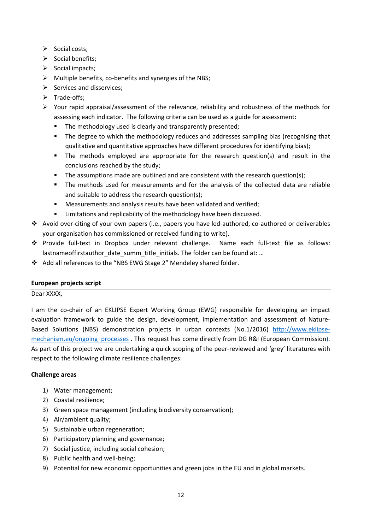- $\triangleright$  Social costs;
- $\triangleright$  Social benefits;
- $\triangleright$  Social impacts;
- Multiple benefits, co‐benefits and synergies of the NBS;
- $\triangleright$  Services and disservices;
- Trade‐offs;
- $\triangleright$  Your rapid appraisal/assessment of the relevance, reliability and robustness of the methods for assessing each indicator. The following criteria can be used as a guide for assessment:
	- The methodology used is clearly and transparently presented;
	- **The degree to which the methodology reduces and addresses sampling bias (recognising that** qualitative and quantitative approaches have different procedures for identifying bias);
	- The methods employed are appropriate for the research question(s) and result in the conclusions reached by the study;
	- The assumptions made are outlined and are consistent with the research question(s);
	- The methods used for measurements and for the analysis of the collected data are reliable and suitable to address the research question(s);
	- Measurements and analysis results have been validated and verified;
	- **EXEDENT EXE** Limitations and replicability of the methodology have been discussed.
- Avoid over‐citing of your own papers (i.e., papers you have led‐authored, co‐authored or deliverables your organisation has commissioned or received funding to write).
- Provide full‐text in Dropbox under relevant challenge. Name each full‐text file as follows: lastnameoffirstauthor\_date\_summ\_title\_initials. The folder can be found at: ...
- Add all references to the "NBS EWG Stage 2" Mendeley shared folder.

## **European projects script**

Dear XXXX,

I am the co‐chair of an EKLIPSE Expert Working Group (EWG) responsible for developing an impact evaluation framework to guide the design, development, implementation and assessment of Nature-Based Solutions (NBS) demonstration projects in urban contexts (No.1/2016) http://www.eklipse‐ mechanism.eu/ongoing processes . This request has come directly from DG R&I (European Commission). As part of this project we are undertaking a quick scoping of the peer-reviewed and 'grey' literatures with respect to the following climate resilience challenges:

## **Challenge areas**

- 1) Water management;
- 2) Coastal resilience;
- 3) Green space management (including biodiversity conservation);
- 4) Air/ambient quality;
- 5) Sustainable urban regeneration;
- 6) Participatory planning and governance;
- 7) Social justice, including social cohesion;
- 8) Public health and well-being;
- 9) Potential for new economic opportunities and green jobs in the EU and in global markets.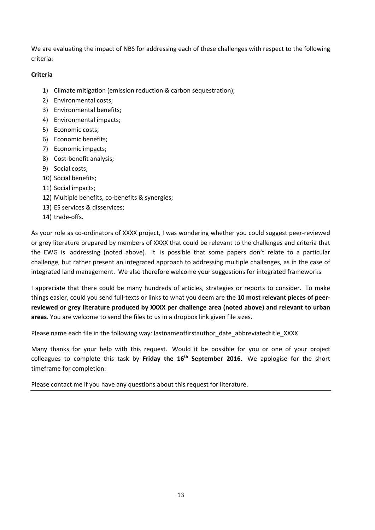We are evaluating the impact of NBS for addressing each of these challenges with respect to the following criteria:

## **Criteria**

- 1) Climate mitigation (emission reduction & carbon sequestration);
- 2) Environmental costs;
- 3) Environmental benefits;
- 4) Environmental impacts;
- 5) Economic costs;
- 6) Economic benefits;
- 7) Economic impacts;
- 8) Cost‐benefit analysis;
- 9) Social costs;
- 10) Social benefits;
- 11) Social impacts;
- 12) Multiple benefits, co-benefits & synergies;
- 13) ES services & disservices;
- 14) trade‐offs.

As your role as co-ordinators of XXXX project, I was wondering whether you could suggest peer-reviewed or grey literature prepared by members of XXXX that could be relevant to the challenges and criteria that the EWG is addressing (noted above). It is possible that some papers don't relate to a particular challenge, but rather present an integrated approach to addressing multiple challenges, as in the case of integrated land management. We also therefore welcome your suggestions for integrated frameworks.

I appreciate that there could be many hundreds of articles, strategies or reports to consider. To make things easier, could you send full‐texts or links to what you deem are the **10 most relevant pieces of peer‐ reviewed or grey literature produced by XXXX per challenge area (noted above) and relevant to urban areas**. You are welcome to send the files to us in a dropbox link given file sizes.

Please name each file in the following way: lastnameoffirstauthor\_date\_abbreviatedtitle\_XXXX

Many thanks for your help with this request. Would it be possible for you or one of your project colleagues to complete this task by **Friday the 16th September 2016**. We apologise for the short timeframe for completion.

Please contact me if you have any questions about this request for literature.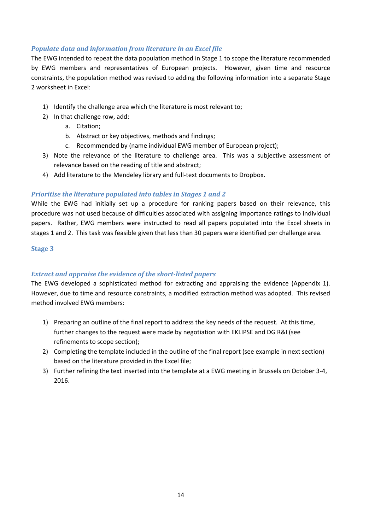## *Populate data and information from literature in an Excel file*

The EWG intended to repeat the data population method in Stage 1 to scope the literature recommended by EWG members and representatives of European projects. However, given time and resource constraints, the population method was revised to adding the following information into a separate Stage 2 worksheet in Excel:

- 1) Identify the challenge area which the literature is most relevant to;
- 2) In that challenge row, add:
	- a. Citation;
	- b. Abstract or key objectives, methods and findings;
	- c. Recommended by (name individual EWG member of European project);
- 3) Note the relevance of the literature to challenge area. This was a subjective assessment of relevance based on the reading of title and abstract;
- 4) Add literature to the Mendeley library and full-text documents to Dropbox.

## *Prioritise the literature populated into tables in Stages 1 and 2*

While the EWG had initially set up a procedure for ranking papers based on their relevance, this procedure was not used because of difficulties associated with assigning importance ratings to individual papers. Rather, EWG members were instructed to read all papers populated into the Excel sheets in stages 1 and 2. This task was feasible given that less than 30 papers were identified per challenge area.

## **Stage 3**

## *Extract and appraise the evidence of the short‐listed papers*

The EWG developed a sophisticated method for extracting and appraising the evidence (Appendix 1). However, due to time and resource constraints, a modified extraction method was adopted. This revised method involved EWG members:

- 1) Preparing an outline of the final report to address the key needs of the request. At this time, further changes to the request were made by negotiation with EKLIPSE and DG R&I (see refinements to scope section);
- 2) Completing the template included in the outline of the final report (see example in next section) based on the literature provided in the Excel file;
- 3) Further refining the text inserted into the template at a EWG meeting in Brussels on October 3‐4, 2016.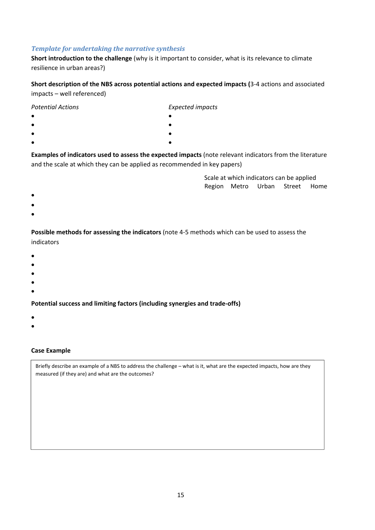#### *Template for undertaking the narrative synthesis*

**Short introduction to the challenge** (why is it important to consider, what is its relevance to climate resilience in urban areas?)

**Short description of the NBS across potential actions and expected impacts (**3‐4 actions and associated impacts – well referenced)

| <b>Potential Actions</b> | <b>Expected impacts</b> |
|--------------------------|-------------------------|
| $\bullet$                |                         |
| $\bullet$                |                         |
| $\bullet$                |                         |
| $\bullet$                |                         |
|                          |                         |

**Examples of indicators used to assess the expected impacts** (note relevant indicators from the literature and the scale at which they can be applied as recommended in key papers)

> Scale at which indicators can be applied Region Metro Urban Street Home

- $\bullet$  . The contract of the contract of the contract of the contract of the contract of the contract of the contract of the contract of the contract of the contract of the contract of the contract of the contract of the co
- $\bullet$
- $\bullet$

**Possible methods for assessing the indicators** (note 4‐5 methods which can be used to assess the indicators

- $\bullet$
- $\bullet$
- $\bullet$
- $\bullet$
- $\bullet$

**Potential success and limiting factors (including synergies and trade‐offs)**

- $\bullet$
- $\bullet$

#### **Case Example**

Briefly describe an example of a NBS to address the challenge – what is it, what are the expected impacts, how are they measured (if they are) and what are the outcomes?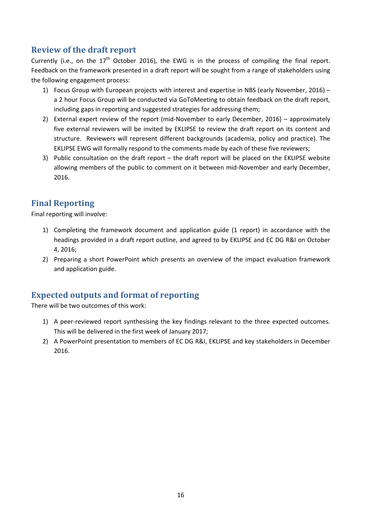# **Review of the draft report**

Currently (i.e., on the  $17<sup>th</sup>$  October 2016), the EWG is in the process of compiling the final report. Feedback on the framework presented in a draft report will be sought from a range of stakeholders using the following engagement process:

- 1) Focus Group with European projects with interest and expertise in NBS (early November, 2016) a 2 hour Focus Group will be conducted via GoToMeeting to obtain feedback on the draft report, including gaps in reporting and suggested strategies for addressing them;
- 2) External expert review of the report (mid-November to early December, 2016) approximately five external reviewers will be invited by EKLIPSE to review the draft report on its content and structure. Reviewers will represent different backgrounds (academia, policy and practice). The EKLIPSE EWG will formally respond to the comments made by each of these five reviewers;
- 3) Public consultation on the draft report the draft report will be placed on the EKLIPSE website allowing members of the public to comment on it between mid‐November and early December, 2016.

# **Final Reporting**

Final reporting will involve:

- 1) Completing the framework document and application guide (1 report) in accordance with the headings provided in a draft report outline, and agreed to by EKLIPSE and EC DG R&I on October 4, 2016;
- 2) Preparing a short PowerPoint which presents an overview of the impact evaluation framework and application guide.

# **Expected outputs and format of reporting**

There will be two outcomes of this work:

- 1) A peer-reviewed report synthesising the key findings relevant to the three expected outcomes. This will be delivered in the first week of January 2017;
- 2) A PowerPoint presentation to members of EC DG R&I, EKLIPSE and key stakeholders in December 2016.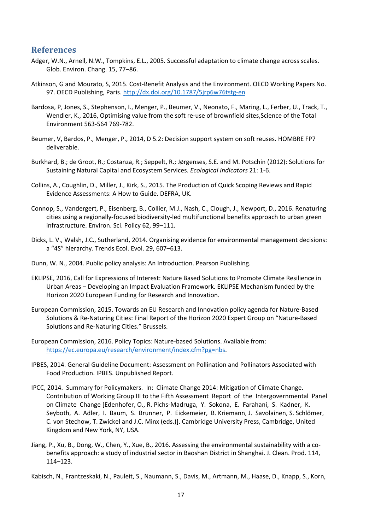## **References**

- Adger, W.N., Arnell, N.W., Tompkins, E.L., 2005. Successful adaptation to climate change across scales. Glob. Environ. Chang. 15, 77–86.
- Atkinson, G and Mourato, S, 2015. Cost-Benefit Analysis and the Environment. OECD Working Papers No. 97. OECD Publishing, Paris. http://dx.doi.org/10.1787/5jrp6w76tstg‐en
- Bardosa, P, Jones, S., Stephenson, I., Menger, P., Beumer, V., Neonato, F., Maring, L., Ferber, U., Track, T., Wendler, K., 2016, Optimising value from the soft re‐use of brownfield sites,Science of the Total Environment 563‐564 769‐782.
- Beumer, V, Bardos, P., Menger, P., 2014, D 5.2: Decision support system on soft reuses. HOMBRE FP7 deliverable.
- Burkhard, B.; de Groot, R.; Costanza, R.; Seppelt, R.; Jørgenses, S.E. and M. Potschin (2012): Solutions for Sustaining Natural Capital and Ecosystem Services. *Ecological Indicators* 21: 1‐6.
- Collins, A., Coughlin, D., Miller, J., Kirk, S., 2015. The Production of Quick Scoping Reviews and Rapid Evidence Assessments: A How to Guide. DEFRA, UK.
- Connop, S., Vandergert, P., Eisenberg, B., Collier, M.J., Nash, C., Clough, J., Newport, D., 2016. Renaturing cities using a regionally‐focused biodiversity‐led multifunctional benefits approach to urban green infrastructure. Environ. Sci. Policy 62, 99–111.
- Dicks, L. V., Walsh, J.C., Sutherland, 2014. Organising evidence for environmental management decisions: a "4S" hierarchy. Trends Ecol. Evol. 29, 607–613.
- Dunn, W. N., 2004. Public policy analysis: An Introduction. Pearson Publishing.
- EKLIPSE, 2016, Call for Expressions of Interest: Nature Based Solutions to Promote Climate Resilience in Urban Areas – Developing an Impact Evaluation Framework. EKLIPSE Mechanism funded by the Horizon 2020 European Funding for Research and Innovation.
- European Commission, 2015. Towards an EU Research and Innovation policy agenda for Nature‐Based Solutions & Re‐Naturing Cities: Final Report of the Horizon 2020 Expert Group on "Nature‐Based Solutions and Re‐Naturing Cities." Brussels.
- European Commission, 2016. Policy Topics: Nature‐based Solutions. Available from: https://ec.europa.eu/research/environment/index.cfm?pg=nbs.
- IPBES, 2014. General Guideline Document: Assessment on Pollination and Pollinators Associated with Food Production. IPBES. Unpublished Report.
- IPCC, 2014. Summary for Policymakers. In: Climate Change 2014: Mitigation of Climate Change. Contribution of Working Group III to the Fifth Assessment Report of the Intergovernmental Panel on Climate Change [Edenhofer, O., R. Pichs‐Madruga, Y. Sokona, E. Farahani, S. Kadner, K. Seyboth, A. Adler, I. Baum, S. Brunner, P. Eickemeier, B. Kriemann, J. Savolainen, S. Schlömer, C. von Stechow, T. Zwickel and J.C. Minx (eds.)]. Cambridge University Press, Cambridge, United Kingdom and New York, NY, USA.
- Jiang, P., Xu, B., Dong, W., Chen, Y., Xue, B., 2016. Assessing the environmental sustainability with a co‐ benefits approach: a study of industrial sector in Baoshan District in Shanghai. J. Clean. Prod. 114, 114–123.
- Kabisch, N., Frantzeskaki, N., Pauleit, S., Naumann, S., Davis, M., Artmann, M., Haase, D., Knapp, S., Korn,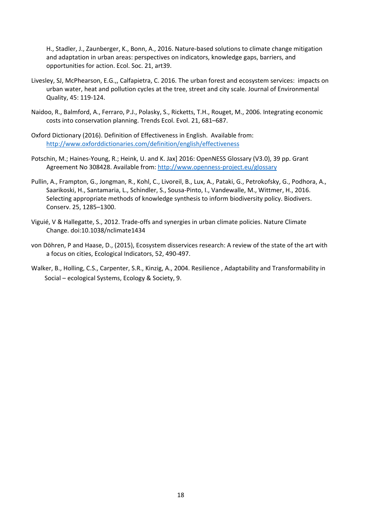H., Stadler, J., Zaunberger, K., Bonn, A., 2016. Nature‐based solutions to climate change mitigation and adaptation in urban areas: perspectives on indicators, knowledge gaps, barriers, and opportunities for action. Ecol. Soc. 21, art39.

- Livesley, SJ, McPhearson, E.G.,, Calfapietra, C. 2016. The urban forest and ecosystem services: impacts on urban water, heat and pollution cycles at the tree, street and city scale. Journal of Environmental Quality, 45: 119‐124.
- Naidoo, R., Balmford, A., Ferraro, P.J., Polasky, S., Ricketts, T.H., Rouget, M., 2006. Integrating economic costs into conservation planning. Trends Ecol. Evol. 21, 681–687.
- Oxford Dictionary (2016). Definition of Effectiveness in English. Available from: http://www.oxforddictionaries.com/definition/english/effectiveness
- Potschin, M.; Haines‐Young, R.; Heink, U. and K. Jax] 2016: OpenNESS Glossary (V3.0), 39 pp. Grant Agreement No 308428. Available from: http://www.openness-project.eu/glossary
- Pullin, A., Frampton, G., Jongman, R., Kohl, C., Livoreil, B., Lux, A., Pataki, G., Petrokofsky, G., Podhora, A., Saarikoski, H., Santamaria, L., Schindler, S., Sousa‐Pinto, I., Vandewalle, M., Wittmer, H., 2016. Selecting appropriate methods of knowledge synthesis to inform biodiversity policy. Biodivers. Conserv. 25, 1285–1300.
- Viguié, V & Hallegatte, S., 2012. Trade‐offs and synergies in urban climate policies. Nature Climate Change. doi:10.1038/nclimate1434
- von Döhren, P and Haase, D., (2015), Ecosystem disservices research: A review of the state of the art with a focus on cities, Ecological Indicators, 52, 490‐497.
- Walker, B., Holling, C.S., Carpenter, S.R., Kinzig, A., 2004. Resilience , Adaptability and Transformability in Social – ecological Systems, Ecology & Society, 9.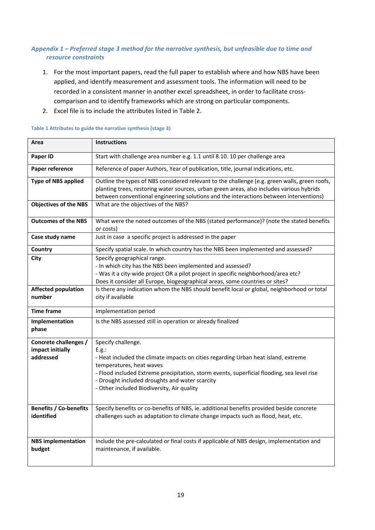## *Appendix 1 – Preferred stage 3 method for the narrative synthesis, but unfeasible due to time and resource constraints*

- 1. For the most important papers, read the full paper to establish where and how NBS have been applied, and identify measurement and assessment tools. The information will need to be recorded in a consistent manner in another excel spreadsheet, in order to facilitate cross‐ comparison and to identify frameworks which are strong on particular components.
- 2. Excel file is to include the attributes listed in Table 2.

| Area                                                   | <b>Instructions</b>                                                                                                                                                                                                                                                                                                                         |
|--------------------------------------------------------|---------------------------------------------------------------------------------------------------------------------------------------------------------------------------------------------------------------------------------------------------------------------------------------------------------------------------------------------|
| Paper ID                                               | Start with challenge area number e.g. 1.1 until 8.10. 10 per challenge area                                                                                                                                                                                                                                                                 |
| Paper reference                                        | Reference of paper Authors, Year of publication, title, journal indications, etc.                                                                                                                                                                                                                                                           |
| <b>Type of NBS applied</b>                             | Outline the types of NBS considered relevant to the challenge (e.g. green walls, green roofs,<br>planting trees, restoring water sources, urban green areas, also includes various hybrids<br>between conventional engineering solutions and the interactions between interventions)                                                        |
| <b>Objectives of the NBS</b>                           | What are the objectives of the NBS?                                                                                                                                                                                                                                                                                                         |
| <b>Outcomes of the NBS</b>                             | What were the noted outcomes of the NBS (stated performance)? (note the stated benefits<br>or costs)                                                                                                                                                                                                                                        |
| Case study name                                        | Just in case a specific project is addressed in the paper                                                                                                                                                                                                                                                                                   |
| Country                                                | Specify spatial scale. In which country has the NBS been implemented and assessed?                                                                                                                                                                                                                                                          |
| City                                                   | Specify geographical range.<br>- In which city has the NBS been implemented and assessed?<br>- Was it a city-wide project OR a pilot project in specific neighborhood/area etc?<br>Does it consider all Europe, biogeographical areas, some countries or sites?                                                                             |
| <b>Affected population</b><br>number                   | Is there any indication whom the NBS should benefit local or global, neighborhood or total<br>city if available                                                                                                                                                                                                                             |
| <b>Time frame</b>                                      | Implementation period                                                                                                                                                                                                                                                                                                                       |
| Implementation<br>phase                                | Is the NBS assessed still in operation or already finalized                                                                                                                                                                                                                                                                                 |
| Concrete challenges /<br>impact initially<br>addressed | Specify challenge.<br>E.g.:<br>- Heat included the climate impacts on cities regarding Urban heat island, extreme<br>temperatures, heat waves<br>- Flood included Extreme precipitation, storm events, superficial flooding, sea level rise<br>- Drought included droughts and water scarcity<br>- Other included Biodiversity, Air quality |
| <b>Benefits / Co-benefits</b><br>identified            | Specify benefits or co-benefits of NBS, ie. additional benefits provided beside concrete<br>challenges such as adaptation to climate change impacts such as flood, heat, etc.                                                                                                                                                               |
| <b>NBS</b> implementation<br>budget                    | Include the pre-calculated or final costs if applicable of NBS design, implementation and<br>maintenance, if available.                                                                                                                                                                                                                     |

#### **Table 1 Attributes to guide the narrative synthesis (stage 3)**